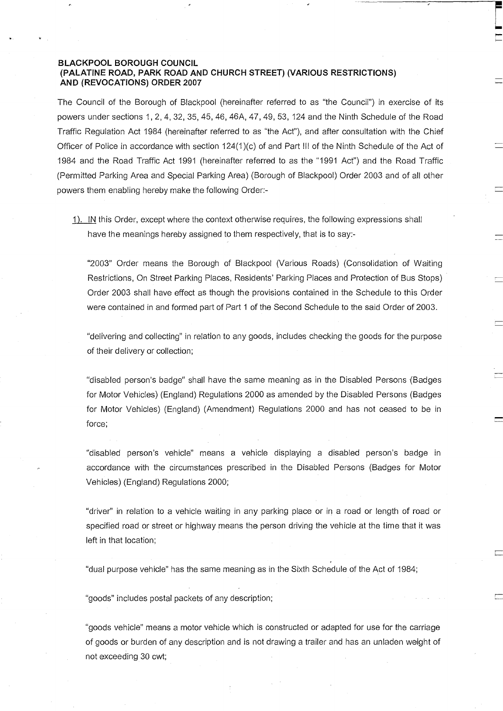# BLACKPOOL BOROUGH COUNCIL (PALATINE ROAD, PARK ROAD AND CHURCH STREET) (VARIOUS RESTRICTIONS) AND (REVOCATIONS) ORDER 2007

The Council of the Borough of Blackpool (hereinafter referred to as "the Council") in exercise of its powers under sections 1,2,4, 32, 35, 45, 46, 46A, 47, 49, 53, 124 and the Ninth Schedule of the Road Traffic Regulation Act 1984 (hereinafter referred to as "the Act"), and after consultation with the Chief Officer of Police in accordance with section 124(1)(c) of and Part III of the Ninth Schedule of the Act of 1984 and the Road Traffic Act 1991 (hereinafter referred to as the "1991 Act") and the Road Traffic (Permitted Parking Area and Special Parking Area) (Borough of Blackpool) Order 2003 and of all other powers them enabling hereby make the following Order:-

1). IN this Order, except where the context otherwise requires, the following expressions shall have the meanings hereby assigned to them respectively, that is to say:-

"2003" Order means the Borough of Blackpool (Various Roads) (Consolidation of Waiting Restrictions, On Street Parking Places, Residents' Parking Places and Protection of Bus Stops) Order 2003 shall have effect as though the provisions contained in the Schedule to this Order were contained in and formed part of Part 1 of the Second Schedule to the said Order of 2003.

"delivering and collecting" in relation to any goods, includes checking the goods for the purpose of their delivery or collection;

"disabled person's badge" shall have the same meaning as in the Disabled Persons (Badges for Motor Vehicles) (England) Regulations 2000 as amended by the Disabled Persons (Badges for Motor Vehicles) (England) (Amendment) Regulations 2000 and has not ceased to be in force;

"disabled person's vehicle" means a vehicle displaying a disabled person's badge in accordance with the circumstances prescribed in the Disabled Persons (Badges for Motor Vehicles) (England) Regulations 2000;

"driver" in relation to a vehicle waiting in any parking place or in a road or length of road or specified road or street or highway means the person driving the vehicle at the time that it was left in that location;

"dual purpose vehicle" has the same meaning as in the Sixth Schedule of the Act of 1984;

"goods" includes postal packets of any description;

"goods vehicle" means a motor vehicle which is constructed or adapted for use for the carriage of goods or burden of any description and is not drawing a trailer and has an unladen weight of not exceeding 30 cwt;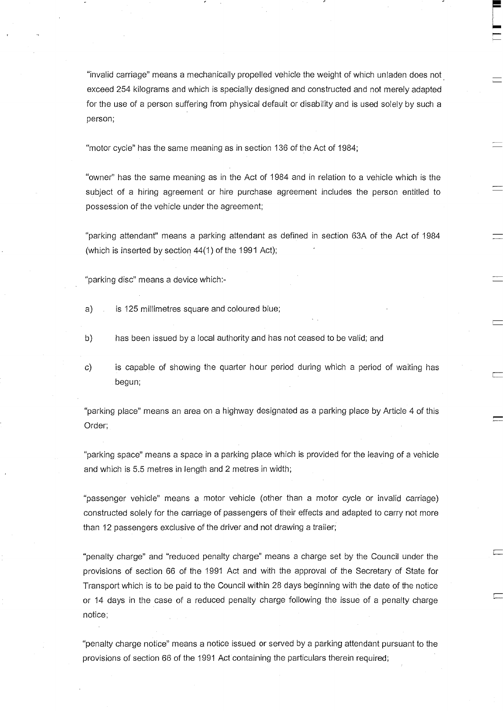"invalid carriage" means a mechanically propelled vehicle the weight of which unladen does not exceed 254 kilograms and which is specially designed and constructed and not merely adapted for the use of a person suffering from physical default or disability and is used solely by such a person;

"motor cycle" has the same meaning as in section 136 of the Act of 1984;

"owner" has the same meaning as in the Act of 1984 and in relation to a vehicle which is the subject of a hiring agreement or hire purchase agreement includes the person entitled to possession of the vehicle under the agreement;

"parking attendant" means a parking attendant as defined in section 63A of the Act of 1984 (which is inserted by section 44(1) of the 1991 Act);

"parking disc" means a device which:-

- a) is 125 millimetres square and coloured blue;
- b) has been issued by a local authority and has not ceased to be valid; and
- c) is capable of showing the quarter hour period during which a period of waiting has begun;

"parking place" means an area on a highway designated as a parking place by Article 4 of this Order;

"parking space" means a space in a parking place which is provided for the leaving of a vehicle and which is 5.5 metres in length and 2 metres in width;

"passenger vehicle" means a motor vehicle (other than a motor cycle or invalid carriage) constructed solely for the carriage of passengers of their effects and adapted to carry not more than 12 passengers exclusive of the driver and not drawing a trailer;

"penalty charge" and "reduced penalty charge" means a charge set by the Council under the provisions of section 66 of the 1991 Act and with the approval of the Secretary of State for Transport which is to be paid to the Council within 28 days beginning with the date of the notice or 14 days in the case of a reduced penalty charge following the issue of a penalty charge notice;

"penalty charge notice" means a notice issued or served by a parking attendant pursuant to the provisions of section 66 of the 1991 Act containing the particulars therein required;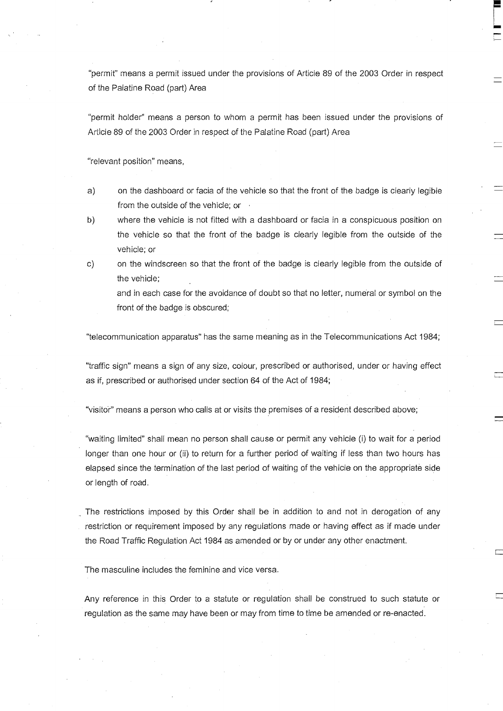"permit" means a permit issued under the provisions of Article 89 of the 2003 Order in respect of the Palatine Road (part) Area

"permit holder" means a person to whom a permit has been issued under the provisions of Article 89 of the 2003 Order in respect of the Palatine Road (part) Area

"relevant position" means,

- a) on the dashboard or facia of the vehicle so that the front of the badge is clearly legible from the outside of the vehicle; or  $\cdot$
- b) where the vehicle is not fitted with a dashboard or facia in a conspicuous position on the vehicle so that the front of the badge is clearly legible from the outside of the vehicle; or
- c) on the windscreen so that the front of the badge is clearly legible from the outside of the vehicle;

and in each case for the avoidance of doubt so that no letter, numeral or symbol on the front of the badge is obscured;

"telecommunication apparatus" has the same meaning as in the Telecommunications Act 1984;

"traffic sign" means a sign of any size, colour, prescribed or authorised, under or having effect as if, prescribed or authorised under section 64 of the Act of 1984;

"visitor" means a person who calls at or visits the premises of a resident described above;

"waiting limited" shall mean no person shall cause or permit any vehicle (i) to wait for a period longer than one hour or (ii) to return for a further period of waiting if less than two hours has elapsed since the termination of the last period of waiting of the vehicle on the appropriate side or length of road.

The restrictions imposed by this Order shall be in addition to and not in derogation of any restriction or requirement imposed by any regulations made or having effect as if made under the Road Traffic Regulation Act 1984 as amended or by or under any other enactment.

The masculine includes the feminine and vice versa.

Any reference in this Order to a statute or regulation shall be construed to such statute or regulation as the same may have been or may from time to time be amended or re-enacted.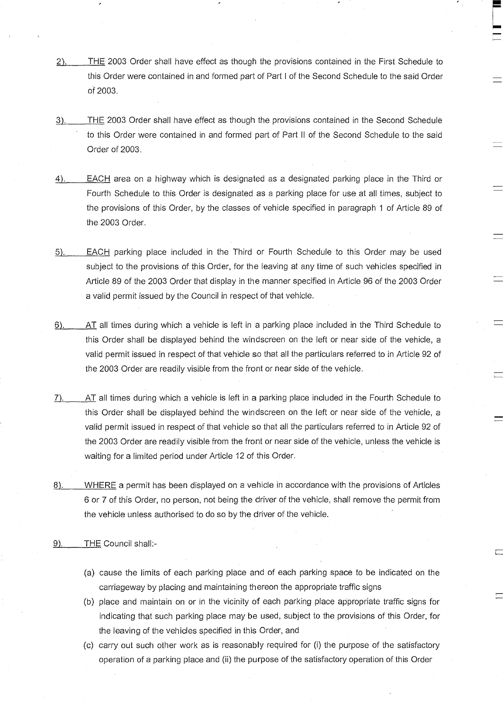- 2). THE 2003 Order shall have effect as though the provisions contained in the First Schedule to this Order were contained in and formed part of Part I of the Second Schedule to the said Order of 2003.
- 3). THE 2003 Order shall have effect as though the provisions contained in the Second Schedule to this Order were contained in and formed part of Part II of the Second Schedule to the said Order of 2003.
- 4). EACH area on a highway which is designated as a designated parking place in the Third or Fourth Schedule to this Order is designated as a parking place for use at all times, subject to the provisions of this Order, by the classes of vehicle specified in paragraph 1 of Article 89 of the 2003 Order.
- 5).\_\_\_\_\_EACH parking place included in the Third or Fourth Schedule to this Order may be used subject to the provisions of this Order, for the leaving at any time of such vehicles specified in Article 89 of the 2003 Order that display in the manner specified in Article 96 of the 2003 Order a valid permit issued by the Council in respect of that vehicle.
- 6).\_\_\_AT all times during which a vehicle is left in a parking place included in the Third Schedule to this Order shall be displayed behind the windscreen on the left or near side of the vehicle, a valid permit issued in respect of that vehicle so that all the particulars referred to in Article 92 of the 2003 Order are readily visible from the front or near side of the vehicle.
- 7). AT all times during which a vehicle is left in a parking place included in the Fourth Schedule to this Order shall be displayed behind the windscreen on the left or near side of the vehicle, a valid permit issued in respect of that vehicle so that all the particulars referred to in Article 92 of the 2003 Order are readily visible from the front or near side of the vehicle, unless the vehicle is waiting for a limited period under Article 12 of this Order.
- 8). WHERE a permit has been displayed on a vehicle in accordance with the provisions of Articles 6 or 7 of this Order, no person, not being the driver of the vehicle, shall remove the permit from the vehicle unless authorised to do so by the driver of the vehicle.
- 9). THE Council shall:-
	- (a) cause the limits of each parking place and of each parking space to be indicated on the carriageway by placing and maintaining thereon the appropriate traffic signs
	- (b) place and maintain on or in the vicinity of each parking place appropriate traffic signs for indicating that such parking place may be used, subject to the provisions of this Order, for the leaving of the vehicles specified in this Order, and
	- (c) carry out such other work as is reasonably required for (i) the purpose of the satisfactory operation of a parking place and (ii) the purpose of the satisfactory operation of this Order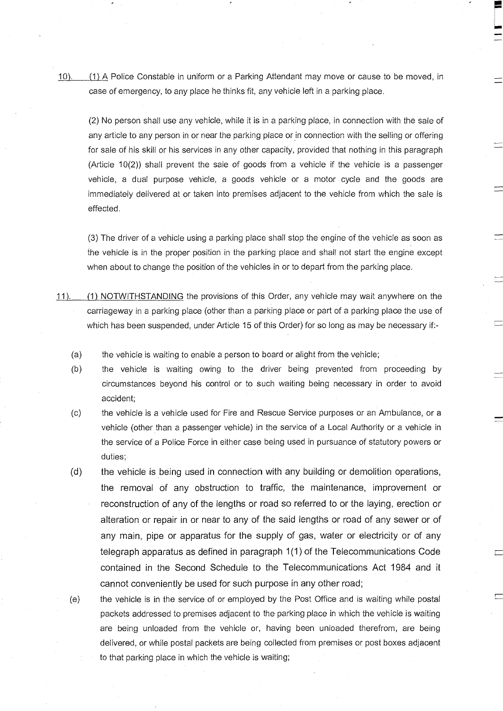10). (1) A Police Constable in uniform or a Parking Attendant may move or cause to be moved, in case of emergency, to any place he thinks fit, any vehicle left in a parking place.

s

(2) No person shall use any vehicle, while it is in a parking place, in connection with the sale of any article to any person in or near the parking place or in connection with the selling or offering for sale of his skill or his services in any other capacity, provided that nothing in this paragraph (Article 10(2)) shall prevent the sale of goods from a vehicle if the vehicle is a passenger vehicle, a dual purpose vehicle, a goods vehicle or a motor cycle and the goods are immediately delivered at or taken into premises adjacent to the vehicle from which the sale is effected.

(3) The driver of a vehicle using a parking place shall stop the engine of the vehicle as soon as the vehicle is in the proper position in the parking place and shall not start the engine except when about to change the position of the vehicles in or to depart from the parking place.

- 11). (1) NOTWITHSTANDING the provisions of this Order, any vehicle may wait anywhere on the carriageway in a parking place (other than a parking place or part of a parking place the use of which has been suspended, under Article 15 of this Order) for so long as may be necessary if:-
	- (a) the vehicle is waiting to enable a person to board or alight from the vehicle;
	- (b) the vehicle is waiting owing to the driver being prevented from proceeding by circumstances beyond his control or to such waiting being necessary in order to avoid accident;
	- (c) the vehicle is a vehicle used for Fire and Rescue Service purposes or an Ambulance, or a vehicle (other than a passenger vehicle) in the service of a Local Authority or a vehicle in the service of a Police Force in either case being used in pursuance of statutory powers or duties;
	- (d) the vehicle is being used in connection with any building or demolition operations, the removal of any obstruction to traffic, the maintenance, improvement or reconstruction of any of the lengths or road so referred to or the laying, erection or alteration or repair in or near to any of the said lengths or road of any sewer or of any main, pipe or apparatus for the supply of gas, water or electricity or of any telegraph apparatus as defined in paragraph 1(1) of the Telecommunications Code contained in the Second Schedule to the Telecommunications Act 1984 and it cannot conveniently be used for such purpose in any other road;
	- (e) the vehicle is in the service of or employed by the Post Office and is waiting while postal packets addressed to premises adjacent to the parking place in which the vehicle is waiting are being unloaded from the vehicle or, having been unloaded therefrom, are being delivered, or while postal packets are being collected from premises or post boxes adjacent to that parking place in which the vehicle is waiting;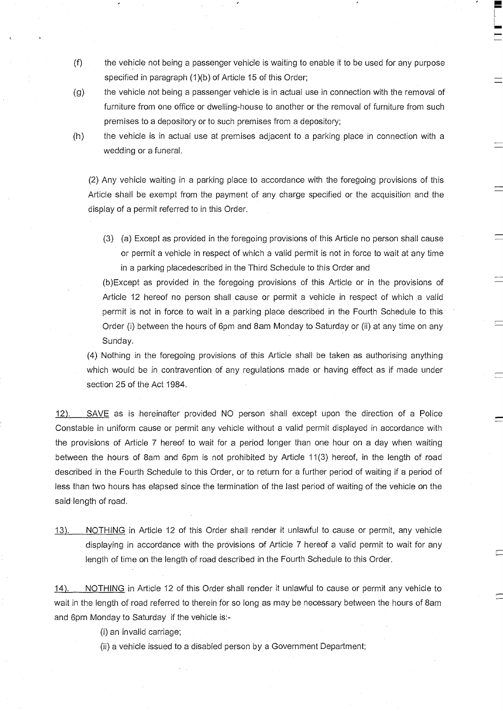- $(f)$  the vehicle not being a passenger vehicle is waiting to enable it to be used for any purpose specified in paragraph (1)(b) of Article 15 of this Order;
- (g) the vehicle not being a passenger vehicle is in actual use in connection with the removal of furniture from one office or dwelling-house to another or the removal of furniture from such premises to a depository or to such premises from a depository;
- 

(h) the vehicle is in actual use at premises adjacent to a parking place in connection with a wedding or a funeral.

(2) Any vehicle waiting in a parking place to accordance with the foregoing provisions of this Article shall be exempt from the payment of any charge specified or the acquisition and the display of a permit referred to in this Order.

(3) (a) Except as provided in the foregoing provisions of this Article no person shall cause or permit a vehicle in respect of which a valid permit is not in force to wait at any time in a parking placedescribed in the Third Schedule to this Order and

(b)Except as provided in the foregoing provisions of this Article or in the provisions of Article 12 hereof no person shall cause or permit a vehicle in respect of which a valid permit is not in force to wait in a parking place described in the Fourth Schedule to this Order (i) between the hours of 6pm and Sam Monday to Saturday or (ii) at any time on any Sunday.

(4) Nothing in the foregoing provisions of this Article shall be taken as authorising anything which would be in contravention of any regulations made or having effect as if made under section 25 of the Act 1984.

12). SAVE as is hereinafter provided NO person shall except upon the direction of a Police Constable in uniform cause or permit any vehicle without a valid permit displayed in accordance with the provisions of Article 7 hereof to wait for a period longer than one hour on a day when waiting between the hours of 8am and 6pm is not prohibited by Article 11(3) hereof, in the length of road described in the Fourth Schedule to this Order, or to return for a further period of waiting if a period of less than two hours has elapsed since the termination of the last period of waiting of the vehicle on the said length of road.

13). NOTHING in Article 12 of this Order shall render it unlawful to cause or permit, any vehicle displaying in accordance with the provisions of Article 7 hereof a valid permit to wait for any length of time on the length of road described in the Fourth Schedule to this Order.

14). NOTHING in Article 12 of this Order shall render it unlawful to cause or permit any vehicle to wait in the length of road referred to therein for so long as may be necessary between the hours of Sam and 6pm Monday to Saturday if the vehicle is:-

(i) an invalid carriage;

(ii) a vehicle issued to a disabled person by a Government Department;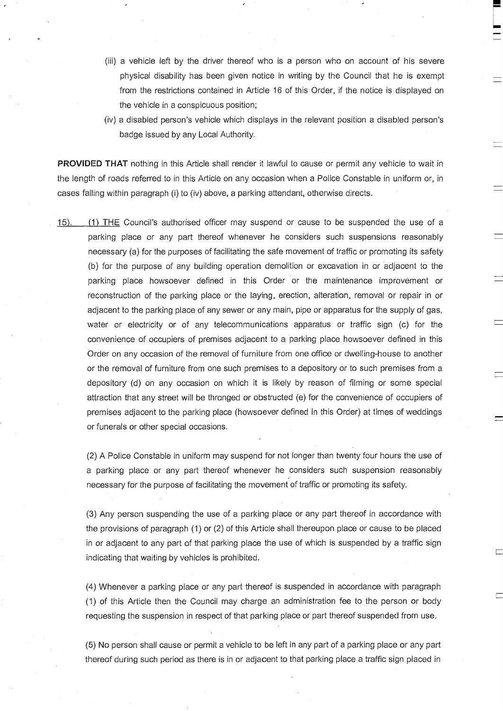- (iii) a vehicle left by the driver thereof who is a person who on account of his severe physical disability has been given notice in writing by the Council that he is exempt from the restrictions contained in Article 16 of this Order, if the notice is displayed on the vehicle in a conspicuous position;
- (iv) a disabled person's vehicle which displays in the relevant position a disabled person's badge issued by any Local Authority.

**PROVIDED THAT** nothing in this Article shall render it lawful to cause or permit any vehicle to wait in the length of roads referred to in this Article on any occasion when a Police Constable in uniform or, in cases falling within paragraph (i) to (iv) above, a parking attendant, otherwise directs.

15). (1) THE Council's authorised officer may suspend or cause to be suspended the use of a parking place or any part thereof whenever he considers such suspensions reasonably necessary (a) for the purposes of facilitating the safe movement of traffic or promoting its safety (b) for the purpose of any building operation demolition or excavation in or adjacent to the parking place howsoever defined in this Order or the maintenance improvement or reconstruction of the parking place or the laying, erection, alteration, removal or repair in or adjacent to the parking place of any sewer or any main, pipe or apparatus for the supply of gas, water or electricity or of any telecommunications apparatus or traffic sign (c) for the convenience of occupiers of premises adjacent to a parking place howsoever defined in this Order on any occasion of the removal of furniture from one office or dwelling-house to another or the removal of furniture from one such premises to a depository or to such premises from a depository (d) on any occasion on which it is likely by reason of filming or some special attraction that any street will be thronged or obstructed (e) for the convenience of occupiers of premises adjacent to the parking place (howsoever defined in this Order) at times of weddings or funerals or other special occasions.

(2) A Police Constable in uniform may suspend for not longer than twenty four hours the use of a parking place or any part thereof whenever he considers such suspension reasonably necessary for the purpose of facilitating the movement of traffic or promoting its safety.

(3) Any person suspending the use of a parking place or any part thereof in accordance with the provisions of paragraph (1) or (2) of this Article shall thereupon place or cause to be placed in or adjacent to any part of that parking place the use of which is suspended by a traffic sign indicating that waiting by vehicles is prohibited.

(4) Whenever a parking place or any part thereof is suspended in accordance with paragraph (1) of this Article then the Council may charge an administration fee to the person or body requesting the suspension in respect of that parking place or part thereof suspended from use.

(5) No person shall cause or permit a vehicle to be left in any part of a parking place or any part thereof during such period as there is in or adjacent to that parking place a traffic sign placed in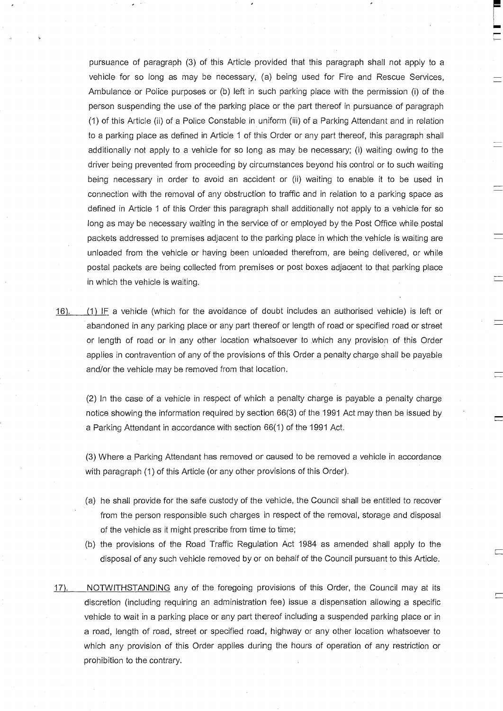pursuance of paragraph (3) of this Article provided that this paragraph shall not apply to a vehicle for so long as may be necessary, (a) being used for Fire and Rescue Services, Ambulance or Police purposes or (b) left in such parking place with the permission (i) of the person suspending the use of the parking place or the part thereof in pursuance of paragraph (1) of this Article (ii) of a Police Constable in uniform (iii) of a Parking Attendant and in relation to a parking place as defined in Article 1 of this Order or any part thereof, this paragraph shall additionally not apply to a vehicle for so long as may be necessary; (i) waiting owing to the driver being prevented from proceeding by circumstances beyond his control or to such waiting being necessary in order to avoid an accident or (ii) waiting to enable it to be used in connection with the removal of any obstruction to traffic and in relation to a parking space as defined in Article 1 of this Order this paragraph shall additionally not apply to a vehicle for so long as may be necessary waiting in the service of or employed by the Post Office while postal packets addressed to premises adjacent to the parking place in which the vehicle is waiting are unloaded from the vehicle or having been unloaded therefrom, are being delivered, or while postal packets are being collected from premises or post boxes adjacent to that parking place in which the vehicle is waiting.

16). (1) IF a vehicle (which for the avoidance of doubt includes an authorised vehicle) is left or abandoned in any parking place or any part thereof or length of road or specified road or street or length of road or in any other location whatsoever to which any provision of this Order applies in contravention of any of the provisions of this Order a penalty charge shall be payable and/or the vehicle may be removed from that location.

(2) In the case of a vehicle in respect of which a penalty charge is payable a penalty charge notice showing the information required by section 66(3) of the 1991 Act may then be issued by a Parking Attendant in accordance with section 66(1) of the 1991 Act.

(3) Where a Parking Attendant has removed or caused to be removed a vehicle in accordance with paragraph (1) of this Article (or any other provisions of this Order).

- (a) he shall provide for the safe custody of the vehicle, the Council shall be entitled to recover from the person responsible such charges in respect of the removal, storage and disposal of the vehicle as it might prescribe from time to time;
- (b) the provisions of the Road Traffic Regulation Act 1984 as amended shall apply to the disposal of any such vehicle removed by or on behalf of the Council pursuant to this Article.
- 17). NOTWITHSTANDING any of the foregoing provisions of this Order, the Council may at its discretion (including requiring an administration fee) issue a dispensation allowing a specific vehicle to wait in a parking place or any part thereof including a suspended parking place or in a road, length of road, street or specified road, highway or any other location whatsoever to which any provision of this Order applies during the hours of operation of any restriction or prohibition to the contrary.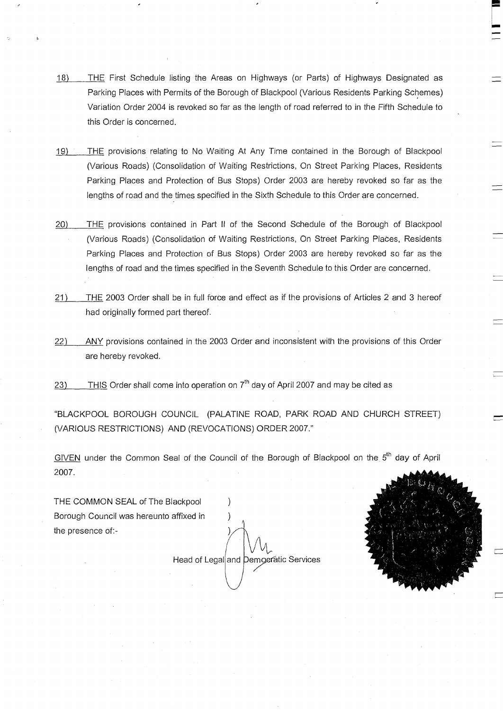- $18)$ THE First Schedule listing the Areas on Highways (or Parts) of Highways Designated as Parking Places with Permits of the Borough of Blackpool (Various Residents Parking Schemes) Variation Order 2004 is revoked so far as the length of road referred to in the Fifth Schedule to this Order is concerned.
- 19) THE provisions relating to No Waiting At Any Time contained in the Borough of Blackpool (Various Roads) (Consolidation of Waiting Restrictions, On Street Parking Places, Residents Parking Places and Protection of Bus Stops) Order 2003 are hereby revoked so far as the lengths of road and the times specified in the Sixth Schedule to this Order are concerned.
- 20) THE provisions contained in Part II of the Second Schedule of the Borough of Blackpool (Various Roads) (Consolidation of Waiting Restrictions, On Street Parking Places, Residents Parking Places and Protection of Bus Stops) Order 2003 are hereby revoked so far as the lengths of road and the times specified in the Seventh Schedule to this Order are concerned.
- 21) THE 2003 Order shall be in full force and effect as if the provisions of Articles 2 and 3 hereof had originally formed part thereof.
- 22) ANY provisions contained in the 2003 Order and inconsistent with the provisions of this Order are hereby revoked.
- $23$  THIS Order shall come into operation on  $7<sup>th</sup>$  day of April 2007 and may be cited as

"BLACKPOOL BOROUGH COUNCIL (PALATINE ROAD, PARK ROAD AND CHURCH STREET) (VARIOUS RESTRICTIONS) AND (REVOCATIONS) ORDER 2007."

GIVEN under the Common Seal of the Council of the Borough of Blackpool on the 5<sup>th</sup> day of April 2007.

THE COMMON SEAL of The Blackpool Borough Council was hereunto affixed in ) the presence of:-

Head of Legal and Democratic Services

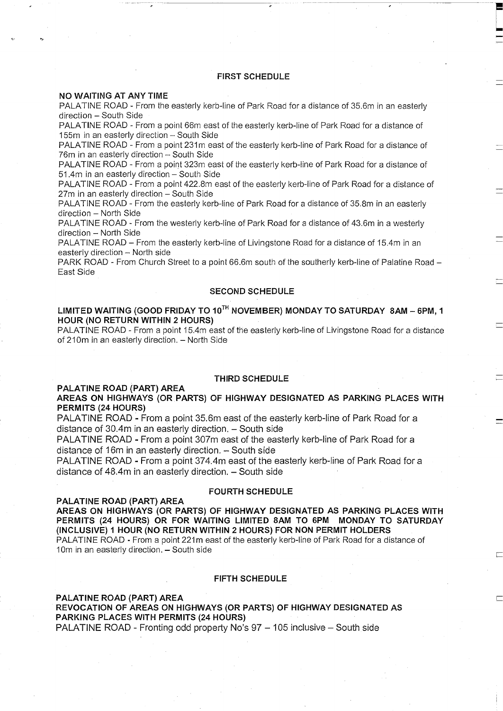# **FIRST SCHEDULE**

 $\sqrt{2}$ 

#### **NO WAITING AT ANY TIME**

PALATINE ROAD - From the easterly kerb-line of Park Road for a distance of 35.6m in an easterly direction - South Side

PALATINE ROAD - From a point 66m east of the easterly kerb-line of Park Road for a distance of 155m in an easterly direction - South Side

PALATINE ROAD - From a point 231m east of the easterly kerb-line of Park Road for a distance of 76m in an easterly direction - South Side

PALATINE ROAD - From a point 323m east of the easterly kerb-line of Park Road for a distance of 51.4m in an easterly direction - South Side

PALATINE ROAD - From a point 422.8m east of the easterly kerb-line of Park Road for a distance of 27m in an easterly direction - South Side

PALATINE ROAD - From the easterly kerb-line of Park Road for a distance of 35.8m in an easterly direction - North Side

PALATINE ROAD - From the westerly kerb-line of Park Road for a distance of 43.6m in a westerly direction - North Side

PALATINE ROAD - From the easterly kerb-line of Livingstone Road for a distance of 15.4m in an easterly direction  $-$  North side

PARK ROAD - From Church Street to a point 66.6m south of the southerly kerb-line of Palatine Road -East Side

# **SECOND SCHEDULE**

# LIMITED WAITING (GOOD FRIDAY TO 10<sup>TH</sup> NOVEMBER) MONDAY TO SATURDAY 8AM - 6PM, 1 **HOUR (NO RETURN WITHIN 2 HOURS)**

PALATINE ROAD - From a point 15.4m east of the easterly kerb-line of Livingstone Road for a distance of 210m in an easterly direction. - North Side

#### **THIRD SCHEDULE**

# **PALATINE ROAD (PART) AREA**

**AREAS ON HIGHWAYS (OR PARTS) OF HIGHWAY DESIGNATED AS PARKING PLACES WITH PERMITS (24 HOURS)**

PALATINE ROAD - From a point 35.6m east of the easterly kerb-line of Park Road for a distance of  $30.4m$  in an easterly direction.  $-$  South side

PALATINE ROAD - From a point 307m east of the easterly kerb-line of Park Road for a distance of 16m in an easterly direction. - South side

PALATINE ROAD - From a point 374.4m east of the easterly kerb-line of Park Road for a distance of  $48.4$ m in an easterly direction.  $-$  South side

## **FOURTH SCHEDULE**

#### **PALATINE ROAD (PART) AREA**

**AREAS ON HIGHWAYS (OR PARTS) OF HIGHWAY DESIGNATED AS PARKING PLACES WITH PERMITS (24 HOURS) OR FOR WAITING LIMITED SAM TO 6PM MONDAY TO SATURDAY (INCLUSIVE) 1 HOUR (NO RETURN WITHIN 2 HOURS) FOR NON PERMIT HOLDERS**  PALATINE ROAD - From a point 221m east of the easterly kerb-line of Park Road for a distance of 10m in an easterly direction. - South side

#### **FIFTH SCHEDULE**

# **PALATINE ROAD (PART) AREA REVOCATION OF AREAS ON HIGHWAYS (OR PARTS) OF HIGHWAY DESIGNATED AS PARKING PLACES WITH PERMITS (24 HOURS)** PALATINE ROAD - Fronting odd property No's 97 - 105 inclusive - South side